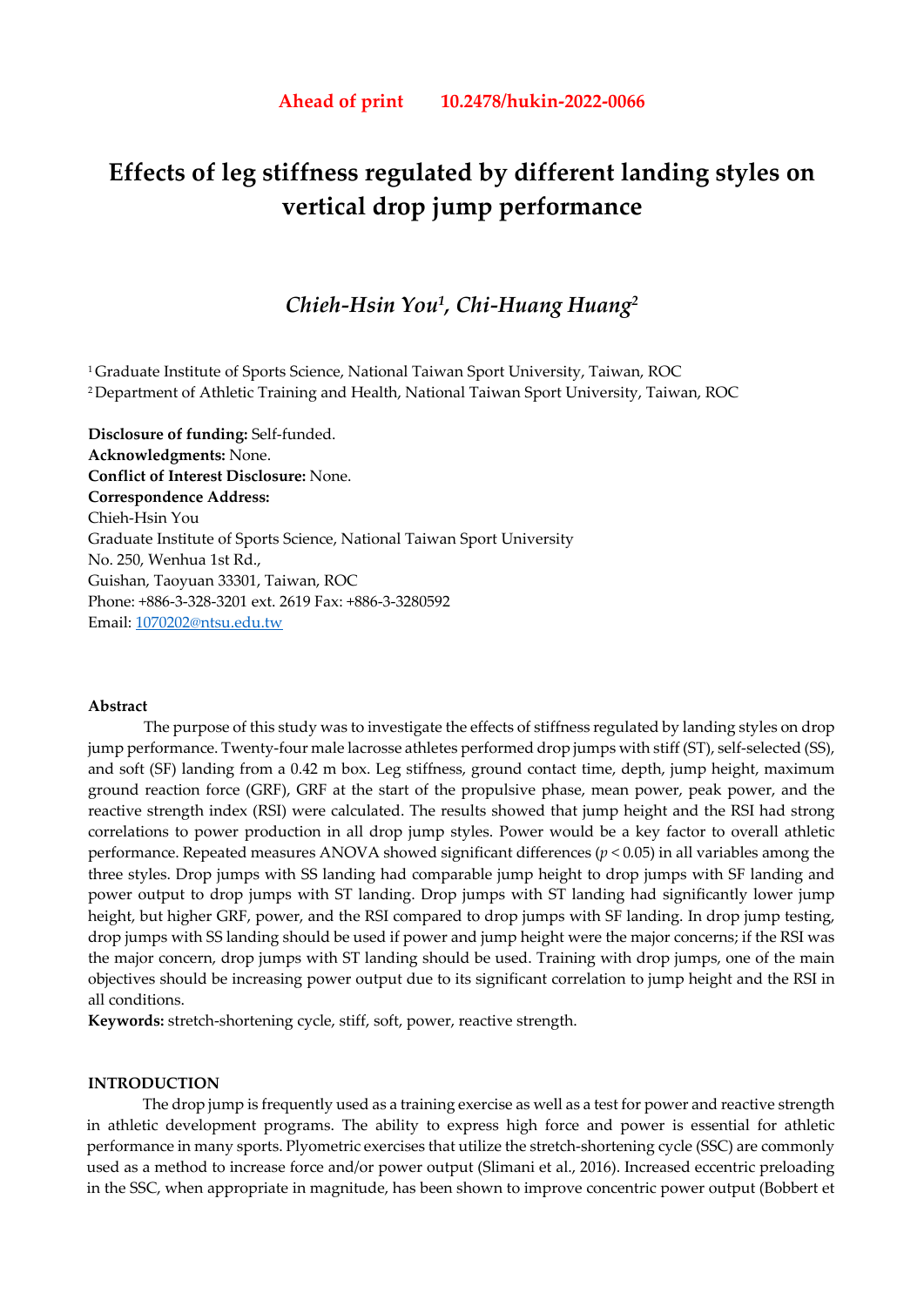# **Effects of leg stiffness regulated by different landing styles on vertical drop jump performance**

## *Chieh-Hsin You1, Chi-Huang Huang2*

1 Graduate Institute of Sports Science, National Taiwan Sport University, Taiwan, ROC 2 Department of Athletic Training and Health, National Taiwan Sport University, Taiwan, ROC

**Disclosure of funding:** Self-funded. **Acknowledgments:** None. **Conflict of Interest Disclosure:** None. **Correspondence Address:**  Chieh-Hsin You Graduate Institute of Sports Science, National Taiwan Sport University No. 250, Wenhua 1st Rd., Guishan, Taoyuan 33301, Taiwan, ROC Phone: +886-3-328-3201 ext. 2619 Fax: +886-3-3280592 Email: 1070202@ntsu.edu.tw

#### **Abstract**

The purpose of this study was to investigate the effects of stiffness regulated by landing styles on drop jump performance. Twenty-four male lacrosse athletes performed drop jumps with stiff (ST), self-selected (SS), and soft (SF) landing from a 0.42 m box. Leg stiffness, ground contact time, depth, jump height, maximum ground reaction force (GRF), GRF at the start of the propulsive phase, mean power, peak power, and the reactive strength index (RSI) were calculated. The results showed that jump height and the RSI had strong correlations to power production in all drop jump styles. Power would be a key factor to overall athletic performance. Repeated measures ANOVA showed significant differences (*p <* 0*.*05) in all variables among the three styles. Drop jumps with SS landing had comparable jump height to drop jumps with SF landing and power output to drop jumps with ST landing. Drop jumps with ST landing had significantly lower jump height, but higher GRF, power, and the RSI compared to drop jumps with SF landing. In drop jump testing, drop jumps with SS landing should be used if power and jump height were the major concerns; if the RSI was the major concern, drop jumps with ST landing should be used. Training with drop jumps, one of the main objectives should be increasing power output due to its significant correlation to jump height and the RSI in all conditions.

**Keywords:** stretch-shortening cycle, stiff, soft, power, reactive strength.

#### **INTRODUCTION**

The drop jump is frequently used as a training exercise as well as a test for power and reactive strength in athletic development programs. The ability to express high force and power is essential for athletic performance in many sports. Plyometric exercises that utilize the stretch-shortening cycle (SSC) are commonly used as a method to increase force and/or power output (Slimani et al., 2016). Increased eccentric preloading in the SSC, when appropriate in magnitude, has been shown to improve concentric power output (Bobbert et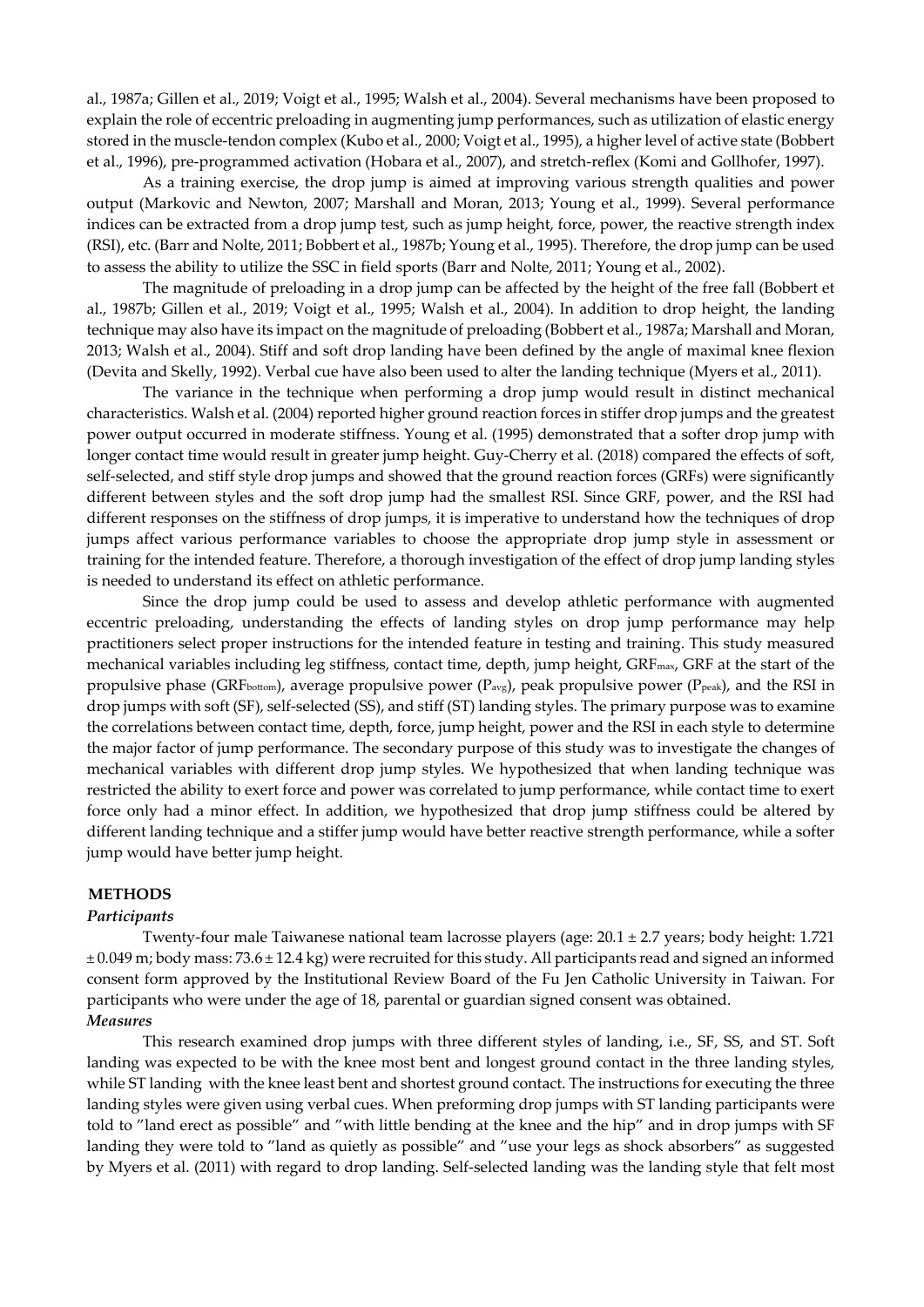al., 1987a; Gillen et al., 2019; Voigt et al., 1995; Walsh et al., 2004). Several mechanisms have been proposed to explain the role of eccentric preloading in augmenting jump performances, such as utilization of elastic energy stored in the muscle-tendon complex (Kubo et al., 2000; Voigt et al., 1995), a higher level of active state (Bobbert et al., 1996), pre-programmed activation (Hobara et al., 2007), and stretch-reflex (Komi and Gollhofer, 1997).

As a training exercise, the drop jump is aimed at improving various strength qualities and power output (Markovic and Newton, 2007; Marshall and Moran, 2013; Young et al., 1999). Several performance indices can be extracted from a drop jump test, such as jump height, force, power, the reactive strength index (RSI), etc. (Barr and Nolte, 2011; Bobbert et al., 1987b; Young et al., 1995). Therefore, the drop jump can be used to assess the ability to utilize the SSC in field sports (Barr and Nolte, 2011; Young et al., 2002).

The magnitude of preloading in a drop jump can be affected by the height of the free fall (Bobbert et al., 1987b; Gillen et al., 2019; Voigt et al., 1995; Walsh et al., 2004). In addition to drop height, the landing technique may also have its impact on the magnitude of preloading (Bobbert et al., 1987a; Marshall and Moran, 2013; Walsh et al., 2004). Stiff and soft drop landing have been defined by the angle of maximal knee flexion (Devita and Skelly, 1992). Verbal cue have also been used to alter the landing technique (Myers et al., 2011).

The variance in the technique when performing a drop jump would result in distinct mechanical characteristics. Walsh et al. (2004) reported higher ground reaction forces in stiffer drop jumps and the greatest power output occurred in moderate stiffness. Young et al. (1995) demonstrated that a softer drop jump with longer contact time would result in greater jump height. Guy-Cherry et al. (2018) compared the effects of soft, self-selected, and stiff style drop jumps and showed that the ground reaction forces (GRFs) were significantly different between styles and the soft drop jump had the smallest RSI. Since GRF, power, and the RSI had different responses on the stiffness of drop jumps, it is imperative to understand how the techniques of drop jumps affect various performance variables to choose the appropriate drop jump style in assessment or training for the intended feature. Therefore, a thorough investigation of the effect of drop jump landing styles is needed to understand its effect on athletic performance.

Since the drop jump could be used to assess and develop athletic performance with augmented eccentric preloading, understanding the effects of landing styles on drop jump performance may help practitioners select proper instructions for the intended feature in testing and training. This study measured mechanical variables including leg stiffness, contact time, depth, jump height, GRFmax, GRF at the start of the propulsive phase (GRF<sub>bottom</sub>), average propulsive power ( $P_{avg}$ ), peak propulsive power ( $P_{peak}$ ), and the RSI in drop jumps with soft (SF), self-selected (SS), and stiff (ST) landing styles. The primary purpose was to examine the correlations between contact time, depth, force, jump height, power and the RSI in each style to determine the major factor of jump performance. The secondary purpose of this study was to investigate the changes of mechanical variables with different drop jump styles. We hypothesized that when landing technique was restricted the ability to exert force and power was correlated to jump performance, while contact time to exert force only had a minor effect. In addition, we hypothesized that drop jump stiffness could be altered by different landing technique and a stiffer jump would have better reactive strength performance, while a softer jump would have better jump height.

#### **METHODS**

#### *Participants*

Twenty-four male Taiwanese national team lacrosse players (age: 20*.*1 *±* 2*.*7 years; body height: 1*.*721 *±* 0*.*049 m; body mass: 73*.*6 *±* 12*.*4 kg) were recruited for this study. All participants read and signed an informed consent form approved by the Institutional Review Board of the Fu Jen Catholic University in Taiwan. For participants who were under the age of 18, parental or guardian signed consent was obtained. *Measures* 

This research examined drop jumps with three different styles of landing, i.e., SF, SS, and ST. Soft landing was expected to be with the knee most bent and longest ground contact in the three landing styles, while ST landing with the knee least bent and shortest ground contact. The instructions for executing the three landing styles were given using verbal cues. When preforming drop jumps with ST landing participants were told to "land erect as possible" and "with little bending at the knee and the hip" and in drop jumps with SF landing they were told to "land as quietly as possible" and "use your legs as shock absorbers" as suggested by Myers et al. (2011) with regard to drop landing. Self-selected landing was the landing style that felt most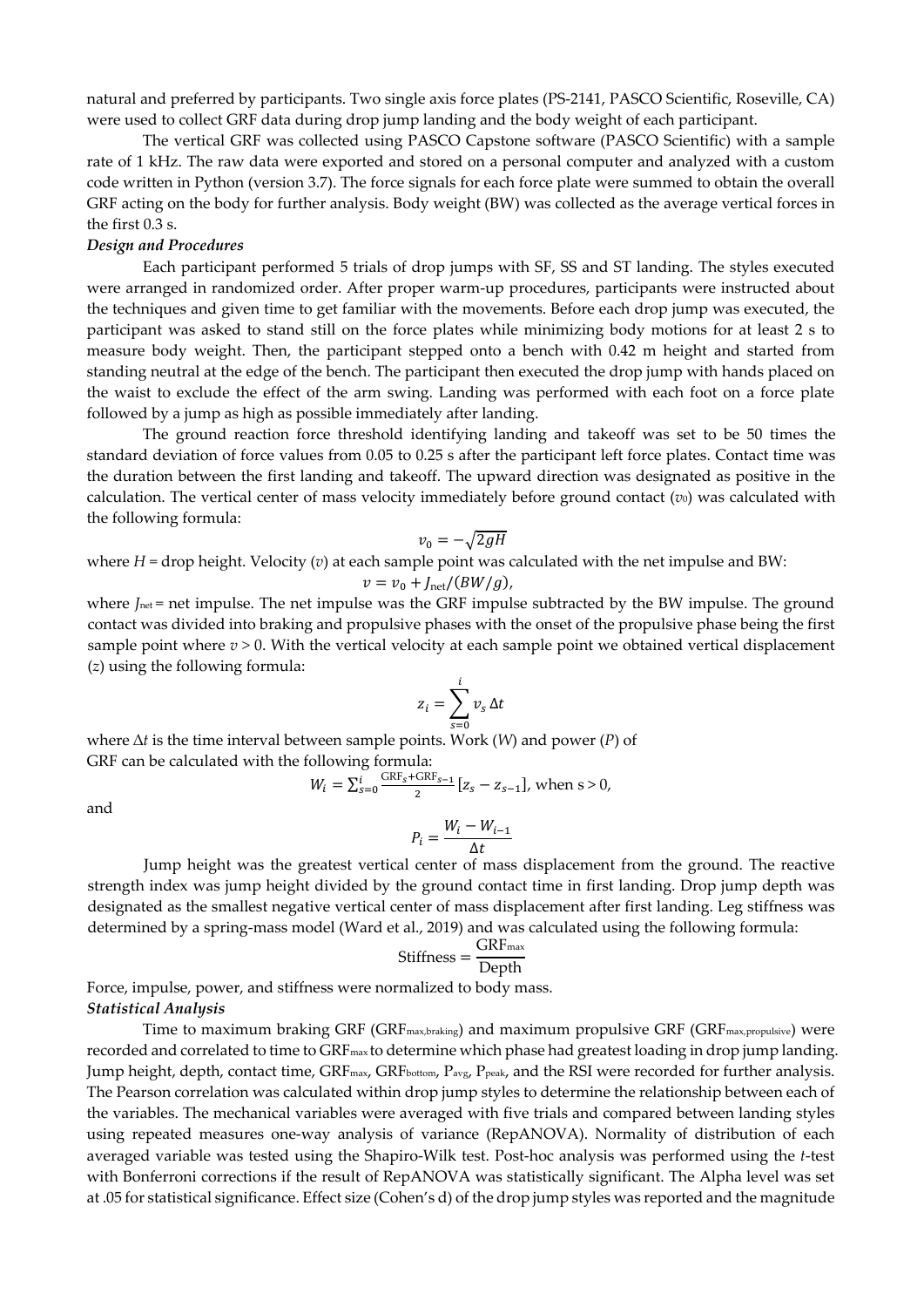natural and preferred by participants. Two single axis force plates (PS-2141, PASCO Scientific, Roseville, CA) were used to collect GRF data during drop jump landing and the body weight of each participant.

The vertical GRF was collected using PASCO Capstone software (PASCO Scientific) with a sample rate of 1 kHz. The raw data were exported and stored on a personal computer and analyzed with a custom code written in Python (version 3.7). The force signals for each force plate were summed to obtain the overall GRF acting on the body for further analysis. Body weight (BW) was collected as the average vertical forces in the first 0.3 s.

#### *Design and Procedures*

Each participant performed 5 trials of drop jumps with SF, SS and ST landing. The styles executed were arranged in randomized order. After proper warm-up procedures, participants were instructed about the techniques and given time to get familiar with the movements. Before each drop jump was executed, the participant was asked to stand still on the force plates while minimizing body motions for at least 2 s to measure body weight. Then, the participant stepped onto a bench with 0.42 m height and started from standing neutral at the edge of the bench. The participant then executed the drop jump with hands placed on the waist to exclude the effect of the arm swing. Landing was performed with each foot on a force plate followed by a jump as high as possible immediately after landing.

The ground reaction force threshold identifying landing and takeoff was set to be 50 times the standard deviation of force values from 0.05 to 0.25 s after the participant left force plates. Contact time was the duration between the first landing and takeoff. The upward direction was designated as positive in the calculation. The vertical center of mass velocity immediately before ground contact (*v*<sub>0</sub>) was calculated with the following formula:

$$
v_0 = -\sqrt{2gH}
$$

where  $H =$  drop height. Velocity ( $v$ ) at each sample point was calculated with the net impulse and BW:

$$
v = v_0 + J_{\text{net}}/(BW/g),
$$

where *J*<sub>net</sub> = net impulse. The net impulse was the GRF impulse subtracted by the BW impulse. The ground contact was divided into braking and propulsive phases with the onset of the propulsive phase being the first sample point where  $v > 0$ . With the vertical velocity at each sample point we obtained vertical displacement (*z*) using the following formula:

$$
z_i = \sum_{s=0}^i v_s \, \Delta t
$$

where ∆*t* is the time interval between sample points. Work (*W*) and power (*P*) of GRF can be calculated with the following formula:

$$
W_i = \sum_{s=0}^{i} \frac{\text{GRF}_s + \text{GRF}_{s-1}}{2} [z_s - z_{s-1}], \text{ when } s > 0,
$$

and

$$
P_i = \frac{W_i - W_{i-1}}{\Delta t}
$$

Jump height was the greatest vertical center of mass displacement from the ground. The reactive strength index was jump height divided by the ground contact time in first landing. Drop jump depth was designated as the smallest negative vertical center of mass displacement after first landing. Leg stiffness was determined by a spring-mass model (Ward et al., 2019) and was calculated using the following formula:

$$
Stiffness = \frac{GRF_{max}}{Depth}
$$

Force, impulse, power, and stiffness were normalized to body mass. *Statistical Analysis* 

Time to maximum braking GRF (GRFmax,braking) and maximum propulsive GRF (GRFmax,propulsive) were recorded and correlated to time to GRF<sub>max</sub> to determine which phase had greatest loading in drop jump landing. Jump height, depth, contact time, GRF<sub>max</sub>, GRF<sub>bottom</sub>, P<sub>avg,</sub> P<sub>peak</sub>, and the RSI were recorded for further analysis. The Pearson correlation was calculated within drop jump styles to determine the relationship between each of the variables. The mechanical variables were averaged with five trials and compared between landing styles using repeated measures one-way analysis of variance (RepANOVA). Normality of distribution of each averaged variable was tested using the Shapiro-Wilk test. Post-hoc analysis was performed using the *t*-test with Bonferroni corrections if the result of RepANOVA was statistically significant. The Alpha level was set at .05 for statistical significance. Effect size (Cohen's d) of the drop jump styles was reported and the magnitude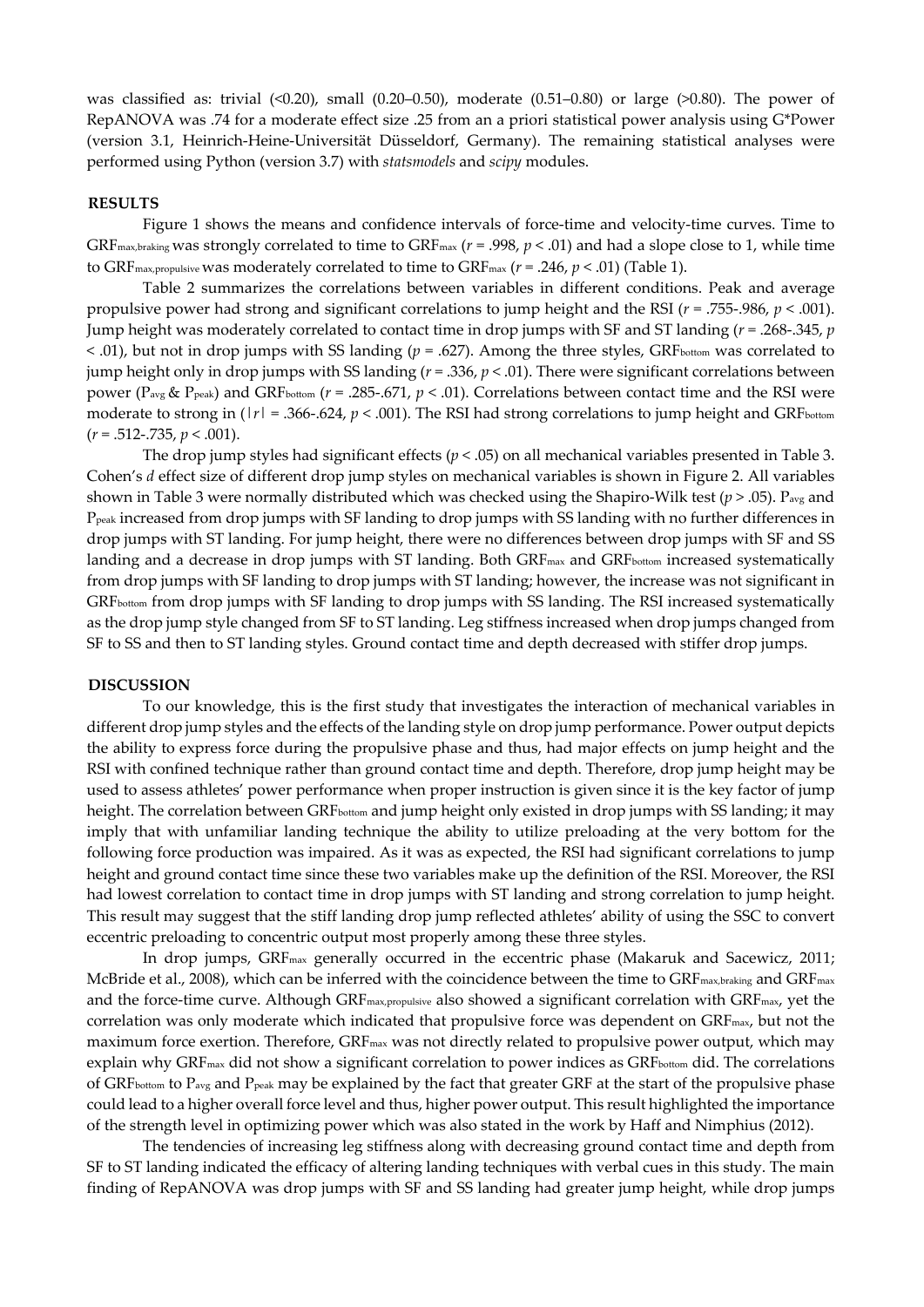was classified as: trivial  $(0.20)$ , small  $(0.20-0.50)$ , moderate  $(0.51-0.80)$  or large  $(>0.80)$ . The power of RepANOVA was .74 for a moderate effect size .25 from an a priori statistical power analysis using G\*Power (version 3.1, Heinrich-Heine-Universität Düsseldorf, Germany). The remaining statistical analyses were performed using Python (version 3.7) with *statsmodels* and *scipy* modules.

#### **RESULTS**

Figure 1 shows the means and confidence intervals of force-time and velocity-time curves. Time to GRFmax,braking was strongly correlated to time to GRFmax (*r* = .998, *p* < .01) and had a slope close to 1, while time to GRFmax,propulsive was moderately correlated to time to GRFmax (*r* = .246, *p* < .01) (Table 1).

Table 2 summarizes the correlations between variables in different conditions. Peak and average propulsive power had strong and significant correlations to jump height and the RSI (*r* = .755-.986, *p* < .001). Jump height was moderately correlated to contact time in drop jumps with SF and ST landing (*r* = .268-.345, *p*  < .01), but not in drop jumps with SS landing (*p* = .627). Among the three styles, GRFbottom was correlated to jump height only in drop jumps with SS landing ( $r = .336$ ,  $p < .01$ ). There were significant correlations between power (Pavg & Ppeak) and GRFbottom (*r* = .285-.671, *p* < .01). Correlations between contact time and the RSI were moderate to strong in ( $|r| = .366-.624$ ,  $p < .001$ ). The RSI had strong correlations to jump height and GRFbottom (*r* = .512-.735, *p* < .001).

The drop jump styles had significant effects ( $p < .05$ ) on all mechanical variables presented in Table 3. Cohen's *d* effect size of different drop jump styles on mechanical variables is shown in Figure 2. All variables shown in Table 3 were normally distributed which was checked using the Shapiro-Wilk test  $(p > .05)$ . P<sub>avg</sub> and Ppeak increased from drop jumps with SF landing to drop jumps with SS landing with no further differences in drop jumps with ST landing. For jump height, there were no differences between drop jumps with SF and SS landing and a decrease in drop jumps with ST landing. Both GRF<sub>max</sub> and GRFbottom increased systematically from drop jumps with SF landing to drop jumps with ST landing; however, the increase was not significant in GRFbottom from drop jumps with SF landing to drop jumps with SS landing. The RSI increased systematically as the drop jump style changed from SF to ST landing. Leg stiffness increased when drop jumps changed from SF to SS and then to ST landing styles. Ground contact time and depth decreased with stiffer drop jumps.

#### **DISCUSSION**

To our knowledge, this is the first study that investigates the interaction of mechanical variables in different drop jump styles and the effects of the landing style on drop jump performance. Power output depicts the ability to express force during the propulsive phase and thus, had major effects on jump height and the RSI with confined technique rather than ground contact time and depth. Therefore, drop jump height may be used to assess athletes' power performance when proper instruction is given since it is the key factor of jump height. The correlation between GRF<sub>bottom</sub> and jump height only existed in drop jumps with SS landing; it may imply that with unfamiliar landing technique the ability to utilize preloading at the very bottom for the following force production was impaired. As it was as expected, the RSI had significant correlations to jump height and ground contact time since these two variables make up the definition of the RSI. Moreover, the RSI had lowest correlation to contact time in drop jumps with ST landing and strong correlation to jump height. This result may suggest that the stiff landing drop jump reflected athletes' ability of using the SSC to convert eccentric preloading to concentric output most properly among these three styles.

In drop jumps, GRF<sub>max</sub> generally occurred in the eccentric phase (Makaruk and Sacewicz, 2011; McBride et al., 2008), which can be inferred with the coincidence between the time to GRF<sub>max,braking</sub> and GRF<sub>max</sub> and the force-time curve. Although GRF<sub>max,propulsive</sub> also showed a significant correlation with GRF<sub>max</sub>, yet the correlation was only moderate which indicated that propulsive force was dependent on GRF<sub>max</sub>, but not the maximum force exertion. Therefore, GRF<sub>max</sub> was not directly related to propulsive power output, which may explain why GRF<sub>max</sub> did not show a significant correlation to power indices as GRFbottom did. The correlations of GRF<sub>bottom</sub> to P<sub>avg</sub> and P<sub>peak</sub> may be explained by the fact that greater GRF at the start of the propulsive phase could lead to a higher overall force level and thus, higher power output. This result highlighted the importance of the strength level in optimizing power which was also stated in the work by Haff and Nimphius (2012).

The tendencies of increasing leg stiffness along with decreasing ground contact time and depth from SF to ST landing indicated the efficacy of altering landing techniques with verbal cues in this study. The main finding of RepANOVA was drop jumps with SF and SS landing had greater jump height, while drop jumps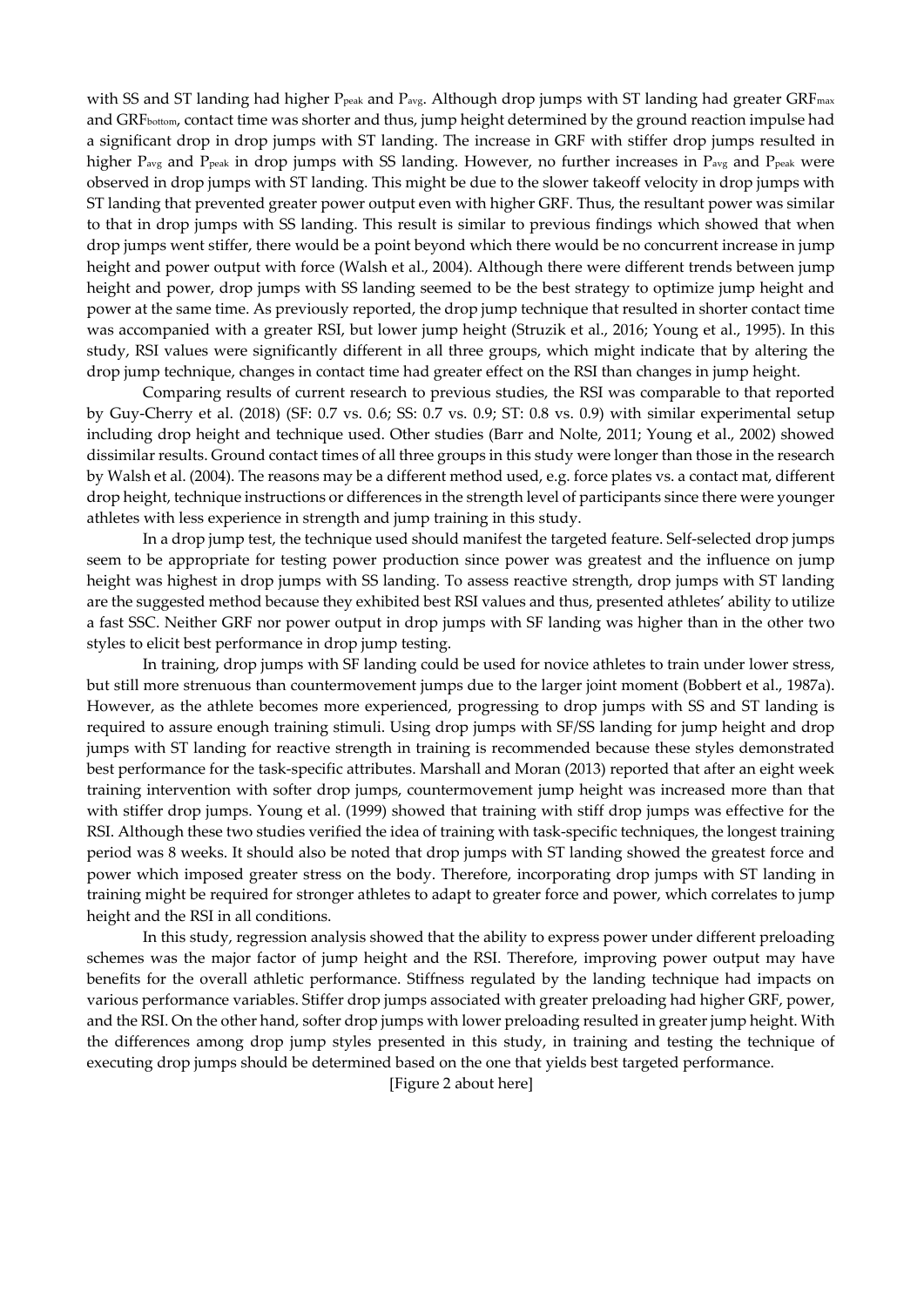with SS and ST landing had higher P<sub>peak</sub> and P<sub>avg</sub>. Although drop jumps with ST landing had greater GRF<sub>max</sub> and GRFbottom, contact time was shorter and thus, jump height determined by the ground reaction impulse had a significant drop in drop jumps with ST landing. The increase in GRF with stiffer drop jumps resulted in higher P<sub>avg</sub> and P<sub>peak</sub> in drop jumps with SS landing. However, no further increases in P<sub>avg</sub> and P<sub>peak</sub> were observed in drop jumps with ST landing. This might be due to the slower takeoff velocity in drop jumps with ST landing that prevented greater power output even with higher GRF. Thus, the resultant power was similar to that in drop jumps with SS landing. This result is similar to previous findings which showed that when drop jumps went stiffer, there would be a point beyond which there would be no concurrent increase in jump height and power output with force (Walsh et al., 2004). Although there were different trends between jump height and power, drop jumps with SS landing seemed to be the best strategy to optimize jump height and power at the same time. As previously reported, the drop jump technique that resulted in shorter contact time was accompanied with a greater RSI, but lower jump height (Struzik et al., 2016; Young et al., 1995). In this study, RSI values were significantly different in all three groups, which might indicate that by altering the drop jump technique, changes in contact time had greater effect on the RSI than changes in jump height.

Comparing results of current research to previous studies, the RSI was comparable to that reported by Guy-Cherry et al. (2018) (SF: 0.7 vs. 0.6; SS: 0.7 vs. 0.9; ST: 0.8 vs. 0.9) with similar experimental setup including drop height and technique used. Other studies (Barr and Nolte, 2011; Young et al., 2002) showed dissimilar results. Ground contact times of all three groups in this study were longer than those in the research by Walsh et al. (2004). The reasons may be a different method used, e.g. force plates vs. a contact mat, different drop height, technique instructions or differences in the strength level of participants since there were younger athletes with less experience in strength and jump training in this study.

In a drop jump test, the technique used should manifest the targeted feature. Self-selected drop jumps seem to be appropriate for testing power production since power was greatest and the influence on jump height was highest in drop jumps with SS landing. To assess reactive strength, drop jumps with ST landing are the suggested method because they exhibited best RSI values and thus, presented athletes' ability to utilize a fast SSC. Neither GRF nor power output in drop jumps with SF landing was higher than in the other two styles to elicit best performance in drop jump testing.

In training, drop jumps with SF landing could be used for novice athletes to train under lower stress, but still more strenuous than countermovement jumps due to the larger joint moment (Bobbert et al., 1987a). However, as the athlete becomes more experienced, progressing to drop jumps with SS and ST landing is required to assure enough training stimuli. Using drop jumps with SF/SS landing for jump height and drop jumps with ST landing for reactive strength in training is recommended because these styles demonstrated best performance for the task-specific attributes. Marshall and Moran (2013) reported that after an eight week training intervention with softer drop jumps, countermovement jump height was increased more than that with stiffer drop jumps. Young et al. (1999) showed that training with stiff drop jumps was effective for the RSI. Although these two studies verified the idea of training with task-specific techniques, the longest training period was 8 weeks. It should also be noted that drop jumps with ST landing showed the greatest force and power which imposed greater stress on the body. Therefore, incorporating drop jumps with ST landing in training might be required for stronger athletes to adapt to greater force and power, which correlates to jump height and the RSI in all conditions.

In this study, regression analysis showed that the ability to express power under different preloading schemes was the major factor of jump height and the RSI. Therefore, improving power output may have benefits for the overall athletic performance. Stiffness regulated by the landing technique had impacts on various performance variables. Stiffer drop jumps associated with greater preloading had higher GRF, power, and the RSI. On the other hand, softer drop jumps with lower preloading resulted in greater jump height. With the differences among drop jump styles presented in this study, in training and testing the technique of executing drop jumps should be determined based on the one that yields best targeted performance.

[Figure 2 about here]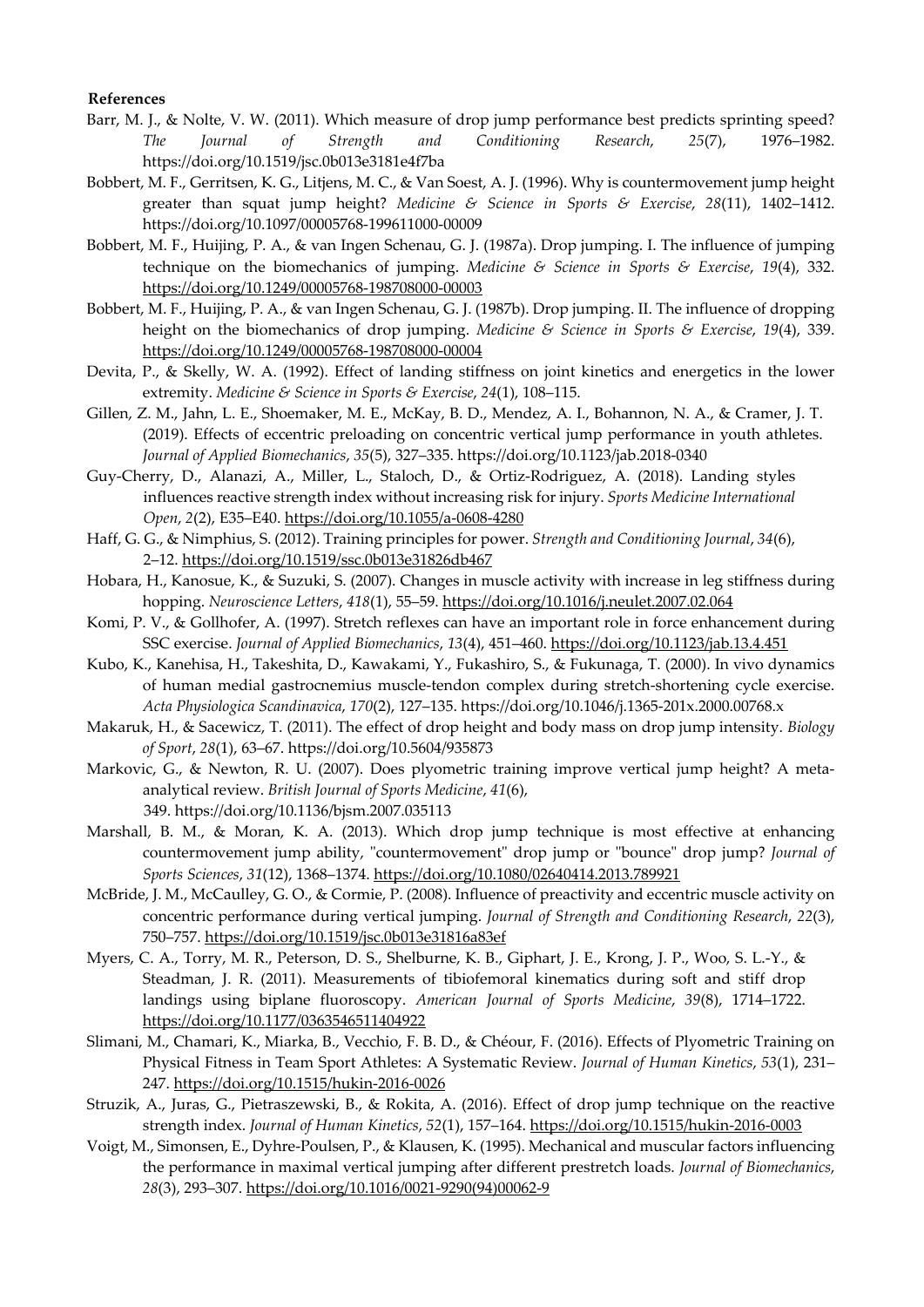#### **References**

- Barr, M. J., & Nolte, V. W. (2011). Which measure of drop jump performance best predicts sprinting speed? *The Journal of Strength and Conditioning Research*, *25*(7), 1976–1982. https://doi.org/10.1519/jsc.0b013e3181e4f7ba
- Bobbert, M. F., Gerritsen, K. G., Litjens, M. C., & Van Soest, A. J. (1996). Why is countermovement jump height greater than squat jump height? *Medicine & Science in Sports & Exercise*, *28*(11), 1402–1412. https://doi.org/10.1097/00005768-199611000-00009
- Bobbert, M. F., Huijing, P. A., & van Ingen Schenau, G. J. (1987a). Drop jumping. I. The influence of jumping technique on the biomechanics of jumping. *Medicine & Science in Sports & Exercise*, *19*(4), 332. https://doi.org/10.1249/00005768-198708000-00003
- Bobbert, M. F., Huijing, P. A., & van Ingen Schenau, G. J. (1987b). Drop jumping. II. The influence of dropping height on the biomechanics of drop jumping. *Medicine & Science in Sports & Exercise*, *19*(4), 339. https://doi.org/10.1249/00005768-198708000-00004
- Devita, P., & Skelly, W. A. (1992). Effect of landing stiffness on joint kinetics and energetics in the lower extremity. *Medicine & Science in Sports & Exercise*, *24*(1), 108–115.
- Gillen, Z. M., Jahn, L. E., Shoemaker, M. E., McKay, B. D., Mendez, A. I., Bohannon, N. A., & Cramer, J. T. (2019). Effects of eccentric preloading on concentric vertical jump performance in youth athletes. *Journal of Applied Biomechanics*, *35*(5), 327–335. https://doi.org/10.1123/jab.2018-0340
- Guy-Cherry, D., Alanazi, A., Miller, L., Staloch, D., & Ortiz-Rodriguez, A. (2018). Landing styles influences reactive strength index without increasing risk for injury. *Sports Medicine International Open*, *2*(2), E35–E40. https://doi.org/10.1055/a-0608-4280
- Haff, G. G., & Nimphius, S. (2012). Training principles for power. *Strength and Conditioning Journal*, *34*(6), 2–12. https://doi.org/10.1519/ssc.0b013e31826db467
- Hobara, H., Kanosue, K., & Suzuki, S. (2007). Changes in muscle activity with increase in leg stiffness during hopping. *Neuroscience Letters*, *418*(1), 55–59. https://doi.org/10.1016/j.neulet.2007.02.064
- Komi, P. V., & Gollhofer, A. (1997). Stretch reflexes can have an important role in force enhancement during SSC exercise. *Journal of Applied Biomechanics*, *13*(4), 451–460. https://doi.org/10.1123/jab.13.4.451
- Kubo, K., Kanehisa, H., Takeshita, D., Kawakami, Y., Fukashiro, S., & Fukunaga, T. (2000). In vivo dynamics of human medial gastrocnemius muscle-tendon complex during stretch-shortening cycle exercise. *Acta Physiologica Scandinavica*, *170*(2), 127–135. https://doi.org/10.1046/j.1365-201x.2000.00768.x
- Makaruk, H., & Sacewicz, T. (2011). The effect of drop height and body mass on drop jump intensity. *Biology of Sport*, *28*(1), 63–67. https://doi.org/10.5604/935873
- Markovic, G., & Newton, R. U. (2007). Does plyometric training improve vertical jump height? A metaanalytical review. *British Journal of Sports Medicine*, *41*(6), 349. https://doi.org/10.1136/bjsm.2007.035113
- Marshall, B. M., & Moran, K. A. (2013). Which drop jump technique is most effective at enhancing countermovement jump ability, "countermovement" drop jump or "bounce" drop jump? *Journal of Sports Sciences*, *31*(12), 1368–1374. https://doi.org/10.1080/02640414.2013.789921
- McBride, J. M., McCaulley, G. O., & Cormie, P. (2008). Influence of preactivity and eccentric muscle activity on concentric performance during vertical jumping. *Journal of Strength and Conditioning Research*, *22*(3), 750–757. https://doi.org/10.1519/jsc.0b013e31816a83ef
- Myers, C. A., Torry, M. R., Peterson, D. S., Shelburne, K. B., Giphart, J. E., Krong, J. P., Woo, S. L.-Y., & Steadman, J. R. (2011). Measurements of tibiofemoral kinematics during soft and stiff drop landings using biplane fluoroscopy. *American Journal of Sports Medicine*, *39*(8), 1714–1722. https://doi.org/10.1177/0363546511404922
- Slimani, M., Chamari, K., Miarka, B., Vecchio, F. B. D., & Chéour, F. (2016). Effects of Plyometric Training on Physical Fitness in Team Sport Athletes: A Systematic Review. *Journal of Human Kinetics*, *53*(1), 231– 247. https://doi.org/10.1515/hukin-2016-0026
- Struzik, A., Juras, G., Pietraszewski, B., & Rokita, A. (2016). Effect of drop jump technique on the reactive strength index. *Journal of Human Kinetics*, *52*(1), 157–164. https://doi.org/10.1515/hukin-2016-0003
- Voigt, M., Simonsen, E., Dyhre-Poulsen, P., & Klausen, K. (1995). Mechanical and muscular factors influencing the performance in maximal vertical jumping after different prestretch loads. *Journal of Biomechanics*, *28*(3), 293–307. https://doi.org/10.1016/0021-9290(94)00062-9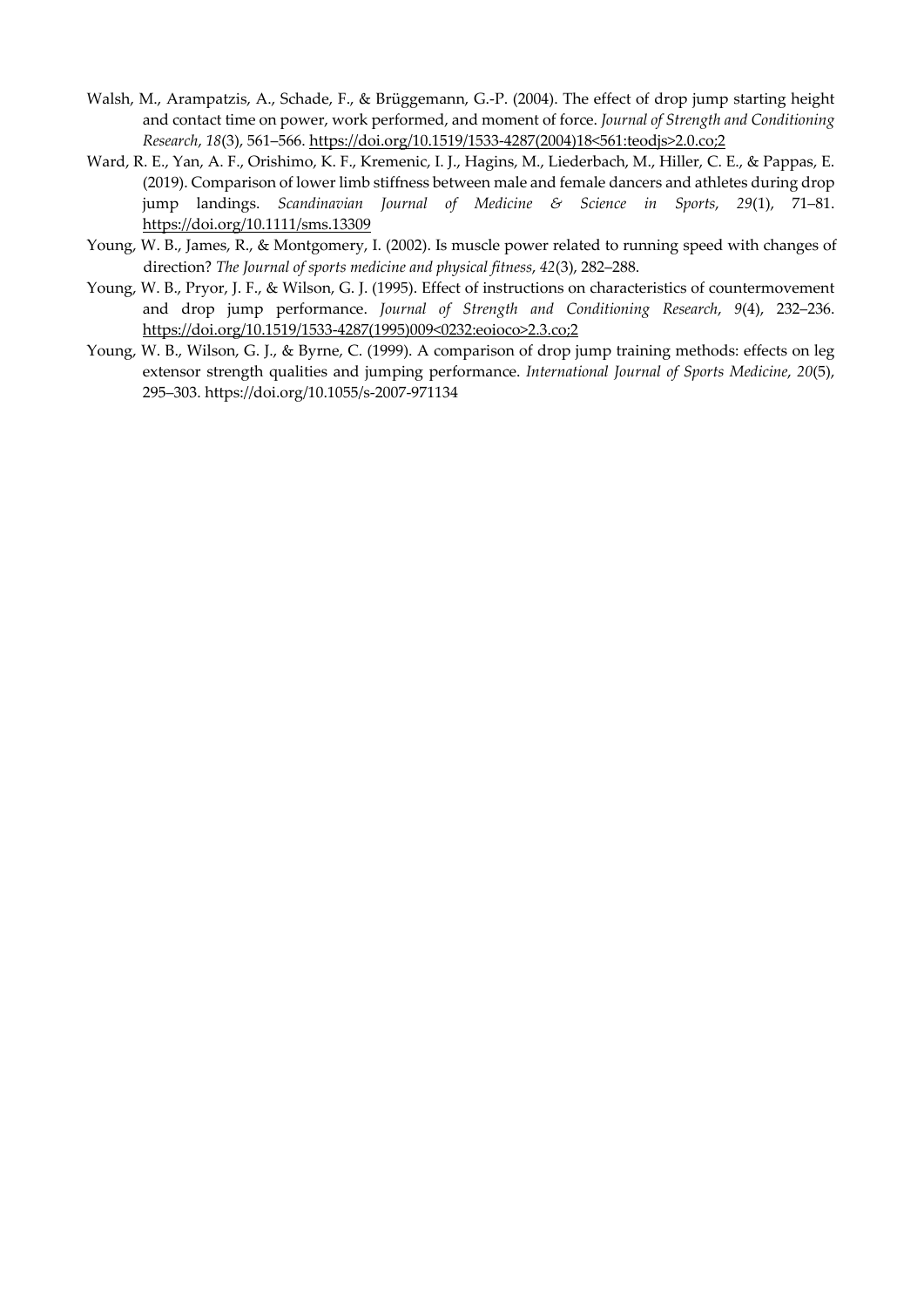- Walsh, M., Arampatzis, A., Schade, F., & Brüggemann, G.-P. (2004). The effect of drop jump starting height and contact time on power, work performed, and moment of force. *Journal of Strength and Conditioning Research*, *18*(3), 561–566. https://doi.org/10.1519/1533-4287(2004)18<561:teodjs>2.0.co;2
- Ward, R. E., Yan, A. F., Orishimo, K. F., Kremenic, I. J., Hagins, M., Liederbach, M., Hiller, C. E., & Pappas, E. (2019). Comparison of lower limb stiffness between male and female dancers and athletes during drop jump landings. *Scandinavian Journal of Medicine & Science in Sports*, *29*(1), 71–81. https://doi.org/10.1111/sms.13309
- Young, W. B., James, R., & Montgomery, I. (2002). Is muscle power related to running speed with changes of direction? *The Journal of sports medicine and physical fitness*, *42*(3), 282–288.
- Young, W. B., Pryor, J. F., & Wilson, G. J. (1995). Effect of instructions on characteristics of countermovement and drop jump performance. *Journal of Strength and Conditioning Research*, *9*(4), 232–236. https://doi.org/10.1519/1533-4287(1995)009<0232:eoioco>2.3.co;2
- Young, W. B., Wilson, G. J., & Byrne, C. (1999). A comparison of drop jump training methods: effects on leg extensor strength qualities and jumping performance. *International Journal of Sports Medicine*, *20*(5), 295–303. https://doi.org/10.1055/s-2007-971134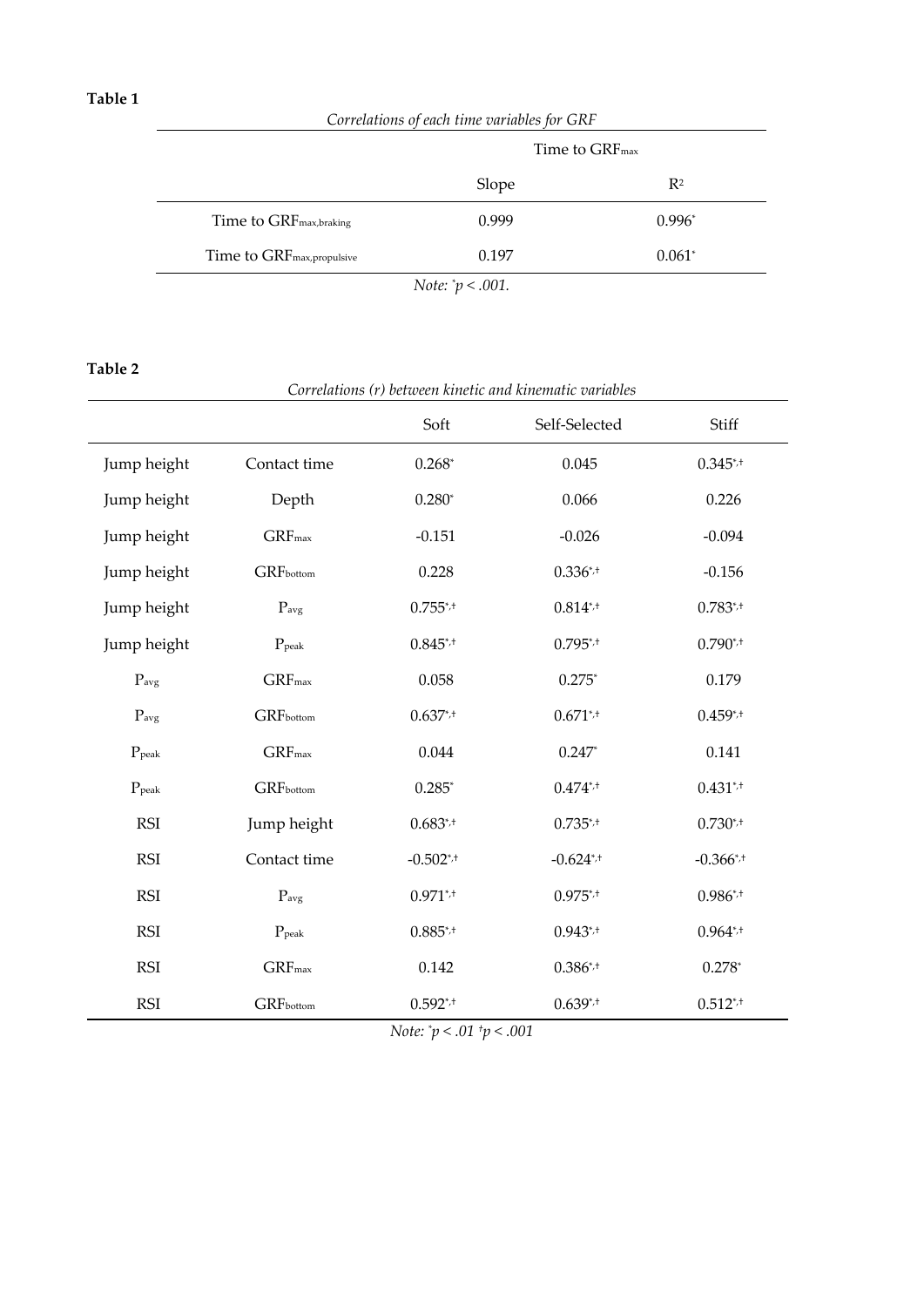*Correlations of each time variables for GRF* 

|                                        | Time to GRF <sub>max</sub> |                |  |  |  |
|----------------------------------------|----------------------------|----------------|--|--|--|
|                                        | Slope                      | $\mathbb{R}^2$ |  |  |  |
| Time to GRF <sub>max,braking</sub>     | 0.999                      | $0.996*$       |  |  |  |
| Time to GRF <sub>max, propulsive</sub> | 0.197                      | $0.061*$       |  |  |  |
| <i>Note:</i> $p < .001$ .              |                            |                |  |  |  |

**Table 2** 

| Correlations (r) between kinetic and kinematic variables |                   |                |               |               |  |
|----------------------------------------------------------|-------------------|----------------|---------------|---------------|--|
|                                                          |                   | Soft           | Self-Selected | Stiff         |  |
| Jump height                                              | Contact time      | $0.268*$       | 0.045         | $0.345^{*}$   |  |
| Jump height                                              | Depth             | $0.280*$       | 0.066         | 0.226         |  |
| Jump height                                              | $GRF_{max}$       | $-0.151$       | $-0.026$      | $-0.094$      |  |
| Jump height                                              | GRFbottom         | 0.228          | $0.336^{*}$   | $-0.156$      |  |
| Jump height                                              | $P_{avg}$         | $0.755^{*}$    | $0.814^{*}$   | $0.783^{*}$   |  |
| Jump height                                              | $P_{\text{peak}}$ | $0.845^{*}$    | $0.795^{*}$   | $0.790^{*}$ + |  |
| $P_{avg}$                                                | $GRF_{max}$       | 0.058          | $0.275*$      | 0.179         |  |
| $P_{avg}$                                                | <b>GRF</b> bottom | $0.637^{*}$    | $0.671^{*}$   | $0.459^{*}$   |  |
| $P_{\text{peak}}$                                        | $GRF_{max}$       | 0.044          | $0.247*$      | 0.141         |  |
| $P_{\rm peak}$                                           | GRFbottom         | $0.285*$       | $0.474^{*}$   | $0.431^{*}$   |  |
| <b>RSI</b>                                               | Jump height       | $0.683^{*}$    | $0.735^{*}$   | $0.730^{*}$   |  |
| <b>RSI</b>                                               | Contact time      | $-0.502^{*}$   | $-0.624^{*}$  | $-0.366^{*}$  |  |
| <b>RSI</b>                                               | $P_{avg}$         | $0.971^{*}$    | $0.975^{*}$   | $0.986^{*}$   |  |
| <b>RSI</b>                                               | $P_{\rm peak}$    | $0.885^{*,+}$  | $0.943^{*}$   | $0.964^{*}$   |  |
| <b>RSI</b>                                               | $GRF_{max}$       | 0.142          | $0.386^{*}$   | $0.278*$      |  |
| <b>RSI</b>                                               | GRFbottom         | $0.592^{*}$ .+ | $0.639^{*}$   | $0.512^{*}$   |  |

*Note: \* p < .01 †p < .001*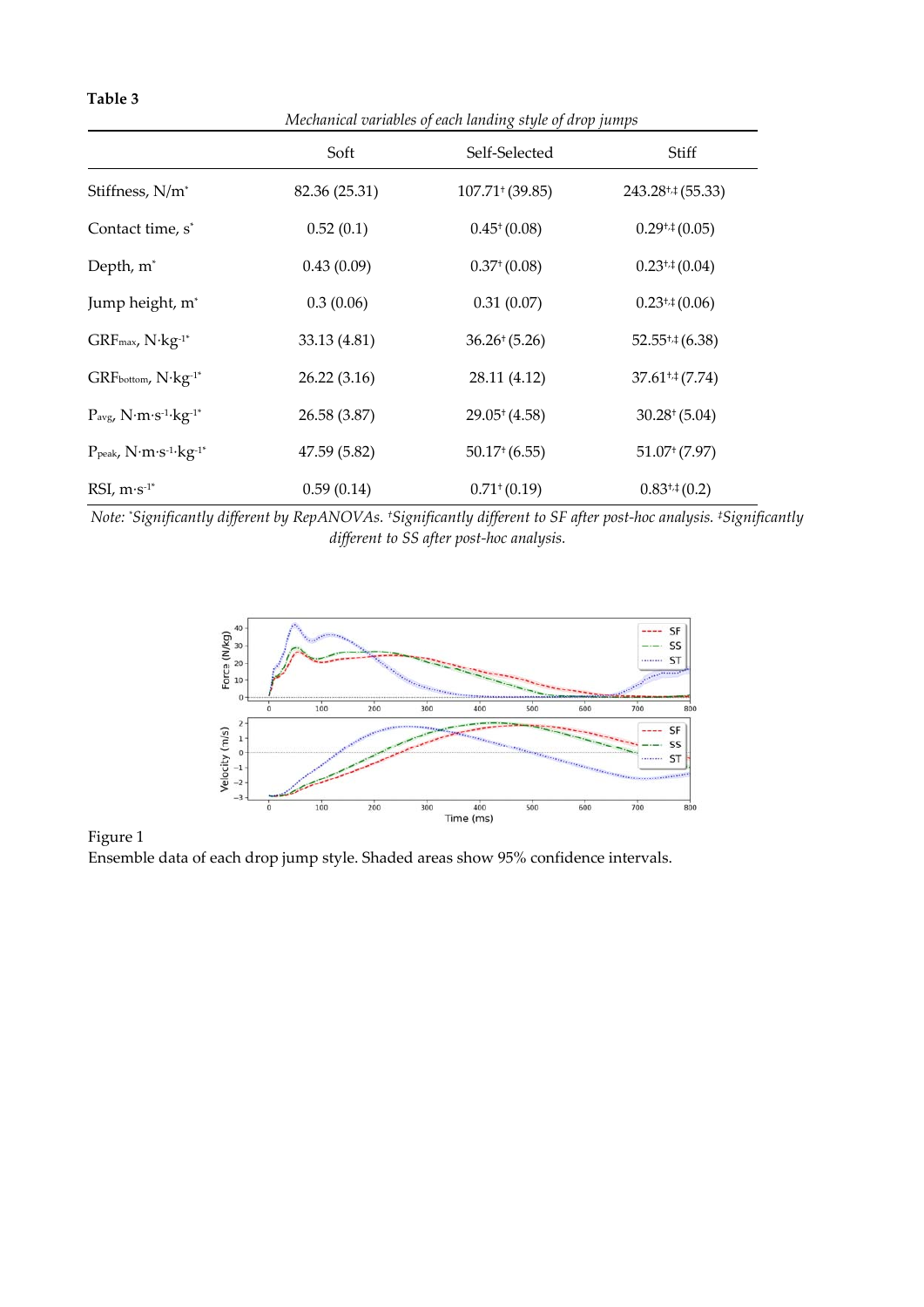|                                                             | Mechanical variables of each landing style of drop jumps |                   |                       |  |  |
|-------------------------------------------------------------|----------------------------------------------------------|-------------------|-----------------------|--|--|
|                                                             | Soft                                                     | Self-Selected     | Stiff                 |  |  |
| Stiffness, N/m <sup>*</sup>                                 | 82.36 (25.31)                                            | 107.71(39.85)     | $243.28^{+4}$ (55.33) |  |  |
| Contact time, s <sup>*</sup>                                | 0.52(0.1)                                                | 0.45(0.08)        | $0.29^{+,} (0.05)$    |  |  |
| Depth, m <sup>*</sup>                                       | 0.43(0.09)                                               | 0.37(0.08)        | $0.23^{+,} (0.04)$    |  |  |
| Jump height, m <sup>*</sup>                                 | 0.3(0.06)                                                | 0.31(0.07)        | $0.23^{+1}(0.06)$     |  |  |
| $GRF$ <sub>max</sub> , $N$ ·kg <sup>-1*</sup>               | 33.13 (4.81)                                             | $36.26^{+}(5.26)$ | $52.55^{+,} (6.38)$   |  |  |
| GRFbottom, N·kg-1*                                          | 26.22(3.16)                                              | 28.11 (4.12)      | $37.61^{+,} (7.74)$   |  |  |
| $P_{avg}$ , $N·m·s-1·kg-1*$                                 | 26.58 (3.87)                                             | 29.05(4.58)       | $30.28^{+}(5.04)$     |  |  |
| $P_{\text{peak}}$ , $N \cdot m \cdot s^{-1} \cdot kg^{-1*}$ | 47.59 (5.82)                                             | 50.17(6.55)       | 51.07(7.97)           |  |  |
| RSI, $m·s-1*$                                               | 0.59(0.14)                                               | 0.71(0.19)        | $0.83^{+,}{}(0.2)$    |  |  |

**Table 3** 

*Note: \* Significantly different by RepANOVAs. †Significantly different to SF after post-hoc analysis. ‡Significantly different to SS after post-hoc analysis.* 



Figure 1 Ensemble data of each drop jump style. Shaded areas show 95% confidence intervals.